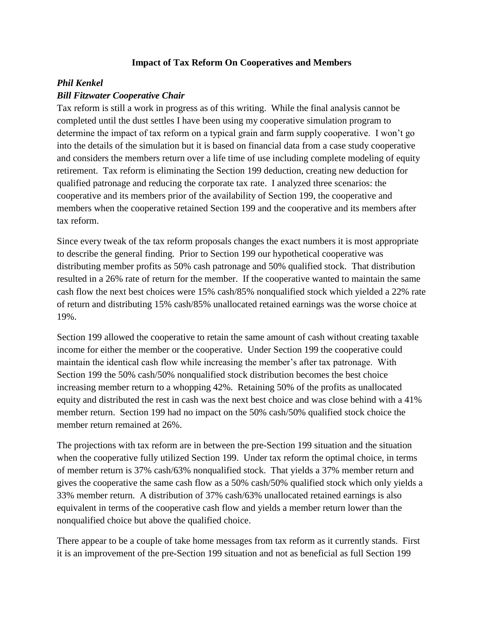## **Impact of Tax Reform On Cooperatives and Members**

## *Phil Kenkel*

## *Bill Fitzwater Cooperative Chair*

Tax reform is still a work in progress as of this writing. While the final analysis cannot be completed until the dust settles I have been using my cooperative simulation program to determine the impact of tax reform on a typical grain and farm supply cooperative. I won't go into the details of the simulation but it is based on financial data from a case study cooperative and considers the members return over a life time of use including complete modeling of equity retirement. Tax reform is eliminating the Section 199 deduction, creating new deduction for qualified patronage and reducing the corporate tax rate. I analyzed three scenarios: the cooperative and its members prior of the availability of Section 199, the cooperative and members when the cooperative retained Section 199 and the cooperative and its members after tax reform.

Since every tweak of the tax reform proposals changes the exact numbers it is most appropriate to describe the general finding. Prior to Section 199 our hypothetical cooperative was distributing member profits as 50% cash patronage and 50% qualified stock. That distribution resulted in a 26% rate of return for the member. If the cooperative wanted to maintain the same cash flow the next best choices were 15% cash/85% nonqualified stock which yielded a 22% rate of return and distributing 15% cash/85% unallocated retained earnings was the worse choice at 19%.

Section 199 allowed the cooperative to retain the same amount of cash without creating taxable income for either the member or the cooperative. Under Section 199 the cooperative could maintain the identical cash flow while increasing the member's after tax patronage. With Section 199 the 50% cash/50% nonqualified stock distribution becomes the best choice increasing member return to a whopping 42%. Retaining 50% of the profits as unallocated equity and distributed the rest in cash was the next best choice and was close behind with a 41% member return. Section 199 had no impact on the 50% cash/50% qualified stock choice the member return remained at 26%.

The projections with tax reform are in between the pre-Section 199 situation and the situation when the cooperative fully utilized Section 199. Under tax reform the optimal choice, in terms of member return is 37% cash/63% nonqualified stock. That yields a 37% member return and gives the cooperative the same cash flow as a 50% cash/50% qualified stock which only yields a 33% member return. A distribution of 37% cash/63% unallocated retained earnings is also equivalent in terms of the cooperative cash flow and yields a member return lower than the nonqualified choice but above the qualified choice.

There appear to be a couple of take home messages from tax reform as it currently stands. First it is an improvement of the pre-Section 199 situation and not as beneficial as full Section 199